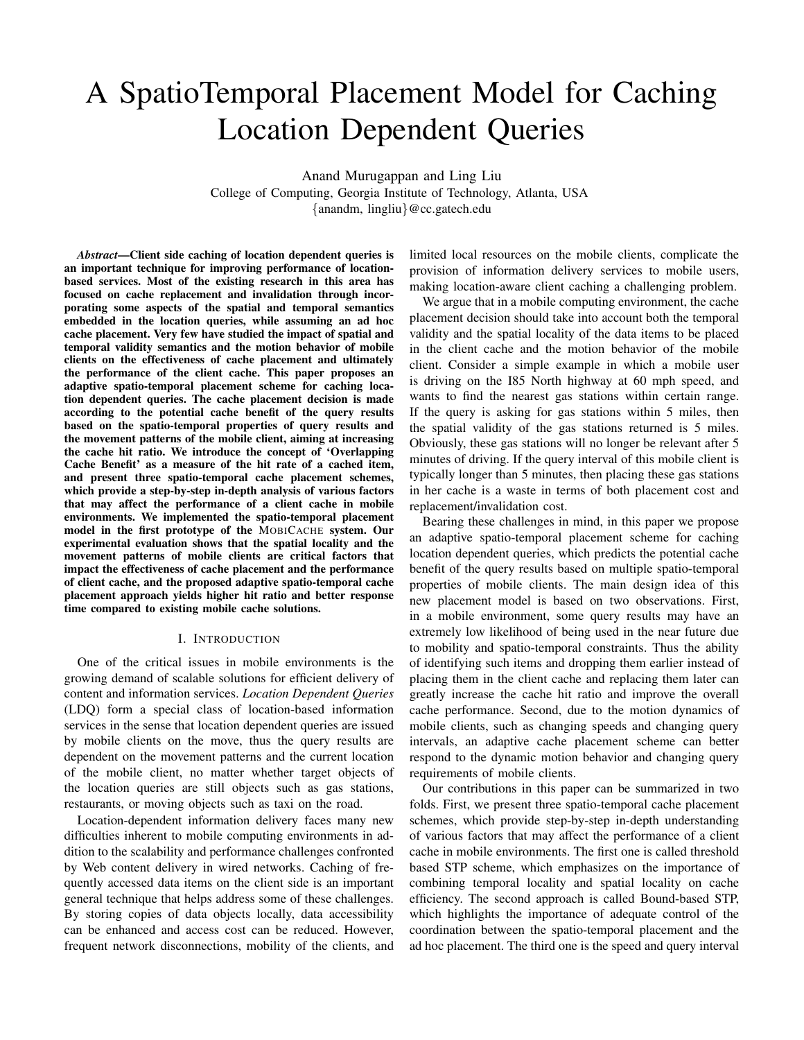# A SpatioTemporal Placement Model for Caching Location Dependent Queries

Anand Murugappan and Ling Liu

College of Computing, Georgia Institute of Technology, Atlanta, USA {anandm, lingliu}@cc.gatech.edu

*Abstract*—Client side caching of location dependent queries is an important technique for improving performance of locationbased services. Most of the existing research in this area has focused on cache replacement and invalidation through incorporating some aspects of the spatial and temporal semantics embedded in the location queries, while assuming an ad hoc cache placement. Very few have studied the impact of spatial and temporal validity semantics and the motion behavior of mobile clients on the effectiveness of cache placement and ultimately the performance of the client cache. This paper proposes an adaptive spatio-temporal placement scheme for caching location dependent queries. The cache placement decision is made according to the potential cache benefit of the query results based on the spatio-temporal properties of query results and the movement patterns of the mobile client, aiming at increasing the cache hit ratio. We introduce the concept of 'Overlapping Cache Benefit' as a measure of the hit rate of a cached item, and present three spatio-temporal cache placement schemes, which provide a step-by-step in-depth analysis of various factors that may affect the performance of a client cache in mobile environments. We implemented the spatio-temporal placement model in the first prototype of the MOBICACHE system. Our experimental evaluation shows that the spatial locality and the movement patterns of mobile clients are critical factors that impact the effectiveness of cache placement and the performance of client cache, and the proposed adaptive spatio-temporal cache placement approach yields higher hit ratio and better response time compared to existing mobile cache solutions.

## I. INTRODUCTION

One of the critical issues in mobile environments is the growing demand of scalable solutions for efficient delivery of content and information services. *Location Dependent Queries* (LDQ) form a special class of location-based information services in the sense that location dependent queries are issued by mobile clients on the move, thus the query results are dependent on the movement patterns and the current location of the mobile client, no matter whether target objects of the location queries are still objects such as gas stations, restaurants, or moving objects such as taxi on the road.

Location-dependent information delivery faces many new difficulties inherent to mobile computing environments in addition to the scalability and performance challenges confronted by Web content delivery in wired networks. Caching of frequently accessed data items on the client side is an important general technique that helps address some of these challenges. By storing copies of data objects locally, data accessibility can be enhanced and access cost can be reduced. However, frequent network disconnections, mobility of the clients, and limited local resources on the mobile clients, complicate the provision of information delivery services to mobile users, making location-aware client caching a challenging problem.

We argue that in a mobile computing environment, the cache placement decision should take into account both the temporal validity and the spatial locality of the data items to be placed in the client cache and the motion behavior of the mobile client. Consider a simple example in which a mobile user is driving on the I85 North highway at 60 mph speed, and wants to find the nearest gas stations within certain range. If the query is asking for gas stations within 5 miles, then the spatial validity of the gas stations returned is 5 miles. Obviously, these gas stations will no longer be relevant after 5 minutes of driving. If the query interval of this mobile client is typically longer than 5 minutes, then placing these gas stations in her cache is a waste in terms of both placement cost and replacement/invalidation cost.

Bearing these challenges in mind, in this paper we propose an adaptive spatio-temporal placement scheme for caching location dependent queries, which predicts the potential cache benefit of the query results based on multiple spatio-temporal properties of mobile clients. The main design idea of this new placement model is based on two observations. First, in a mobile environment, some query results may have an extremely low likelihood of being used in the near future due to mobility and spatio-temporal constraints. Thus the ability of identifying such items and dropping them earlier instead of placing them in the client cache and replacing them later can greatly increase the cache hit ratio and improve the overall cache performance. Second, due to the motion dynamics of mobile clients, such as changing speeds and changing query intervals, an adaptive cache placement scheme can better respond to the dynamic motion behavior and changing query requirements of mobile clients.

Our contributions in this paper can be summarized in two folds. First, we present three spatio-temporal cache placement schemes, which provide step-by-step in-depth understanding of various factors that may affect the performance of a client cache in mobile environments. The first one is called threshold based STP scheme, which emphasizes on the importance of combining temporal locality and spatial locality on cache efficiency. The second approach is called Bound-based STP, which highlights the importance of adequate control of the coordination between the spatio-temporal placement and the ad hoc placement. The third one is the speed and query interval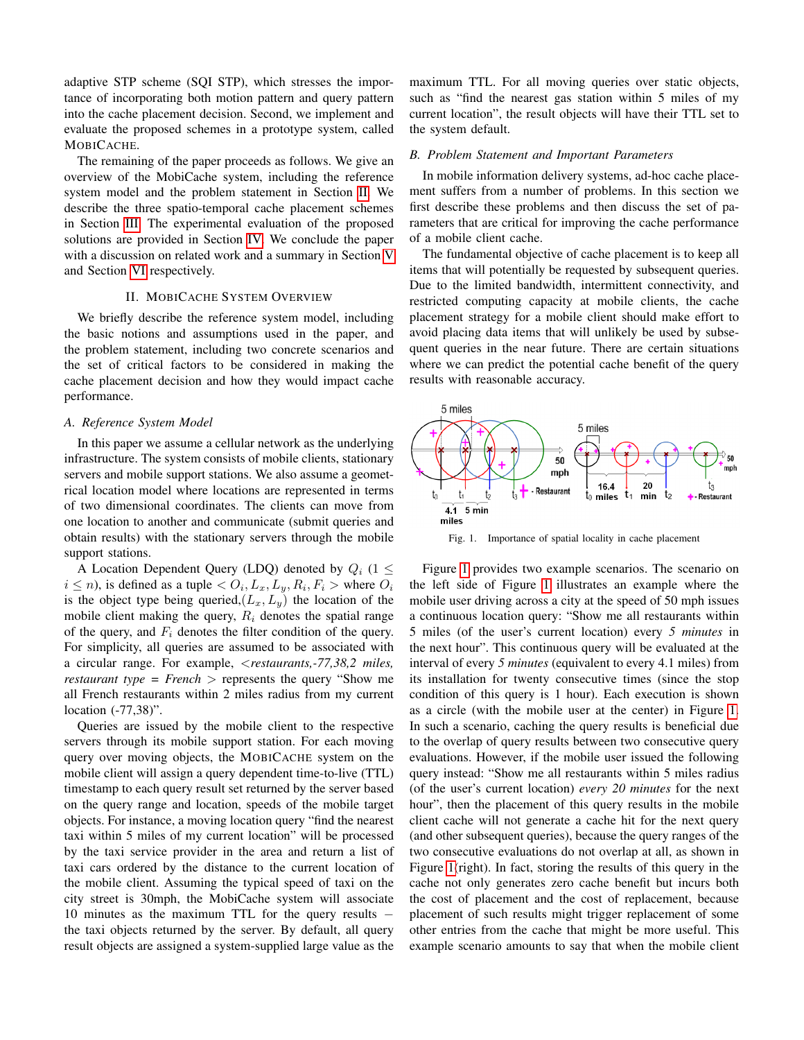adaptive STP scheme (SQI STP), which stresses the importance of incorporating both motion pattern and query pattern into the cache placement decision. Second, we implement and evaluate the proposed schemes in a prototype system, called MOBICACHE.

The remaining of the paper proceeds as follows. We give an overview of the MobiCache system, including the reference system model and the problem statement in Section [II.](#page-1-0) We describe the three spatio-temporal cache placement schemes in Section [III.](#page-2-0) The experimental evaluation of the proposed solutions are provided in Section [IV.](#page-5-0) We conclude the paper with a discussion on related work and a summary in Section [V](#page-7-0) and Section [VI](#page-8-0) respectively.

## II. MOBICACHE SYSTEM OVERVIEW

<span id="page-1-0"></span>We briefly describe the reference system model, including the basic notions and assumptions used in the paper, and the problem statement, including two concrete scenarios and the set of critical factors to be considered in making the cache placement decision and how they would impact cache performance.

#### *A. Reference System Model*

In this paper we assume a cellular network as the underlying infrastructure. The system consists of mobile clients, stationary servers and mobile support stations. We also assume a geometrical location model where locations are represented in terms of two dimensional coordinates. The clients can move from one location to another and communicate (submit queries and obtain results) with the stationary servers through the mobile support stations.

A Location Dependent Query (LDQ) denoted by  $Q_i$  (1  $\leq$  $i \leq n$ ), is defined as a tuple  $\langle O_i, L_x, L_y, R_i, F_i \rangle$  where  $O_i$ is the object type being queried,  $(L_x, L_y)$  the location of the mobile client making the query,  $R_i$  denotes the spatial range of the query, and  $F_i$  denotes the filter condition of the query. For simplicity, all queries are assumed to be associated with a circular range. For example, <*restaurants,-77,38,2 miles, restaurant type = French > represents the query* "Show me all French restaurants within 2 miles radius from my current location (-77,38)".

Queries are issued by the mobile client to the respective servers through its mobile support station. For each moving query over moving objects, the MOBICACHE system on the mobile client will assign a query dependent time-to-live (TTL) timestamp to each query result set returned by the server based on the query range and location, speeds of the mobile target objects. For instance, a moving location query "find the nearest taxi within 5 miles of my current location" will be processed by the taxi service provider in the area and return a list of taxi cars ordered by the distance to the current location of the mobile client. Assuming the typical speed of taxi on the city street is 30mph, the MobiCache system will associate 10 minutes as the maximum TTL for the query results − the taxi objects returned by the server. By default, all query result objects are assigned a system-supplied large value as the maximum TTL. For all moving queries over static objects, such as "find the nearest gas station within 5 miles of my current location", the result objects will have their TTL set to the system default.

### <span id="page-1-2"></span>*B. Problem Statement and Important Parameters*

In mobile information delivery systems, ad-hoc cache placement suffers from a number of problems. In this section we first describe these problems and then discuss the set of parameters that are critical for improving the cache performance of a mobile client cache.

The fundamental objective of cache placement is to keep all items that will potentially be requested by subsequent queries. Due to the limited bandwidth, intermittent connectivity, and restricted computing capacity at mobile clients, the cache placement strategy for a mobile client should make effort to avoid placing data items that will unlikely be used by subsequent queries in the near future. There are certain situations where we can predict the potential cache benefit of the query results with reasonable accuracy.



<span id="page-1-1"></span>Fig. 1. Importance of spatial locality in cache placement

Figure [1](#page-1-1) provides two example scenarios. The scenario on the left side of Figure [1](#page-1-1) illustrates an example where the mobile user driving across a city at the speed of 50 mph issues a continuous location query: "Show me all restaurants within 5 miles (of the user's current location) every *5 minutes* in the next hour". This continuous query will be evaluated at the interval of every *5 minutes* (equivalent to every 4.1 miles) from its installation for twenty consecutive times (since the stop condition of this query is 1 hour). Each execution is shown as a circle (with the mobile user at the center) in Figure [1.](#page-1-1) In such a scenario, caching the query results is beneficial due to the overlap of query results between two consecutive query evaluations. However, if the mobile user issued the following query instead: "Show me all restaurants within 5 miles radius (of the user's current location) *every 20 minutes* for the next hour", then the placement of this query results in the mobile client cache will not generate a cache hit for the next query (and other subsequent queries), because the query ranges of the two consecutive evaluations do not overlap at all, as shown in Figure [1\(](#page-1-1)right). In fact, storing the results of this query in the cache not only generates zero cache benefit but incurs both the cost of placement and the cost of replacement, because placement of such results might trigger replacement of some other entries from the cache that might be more useful. This example scenario amounts to say that when the mobile client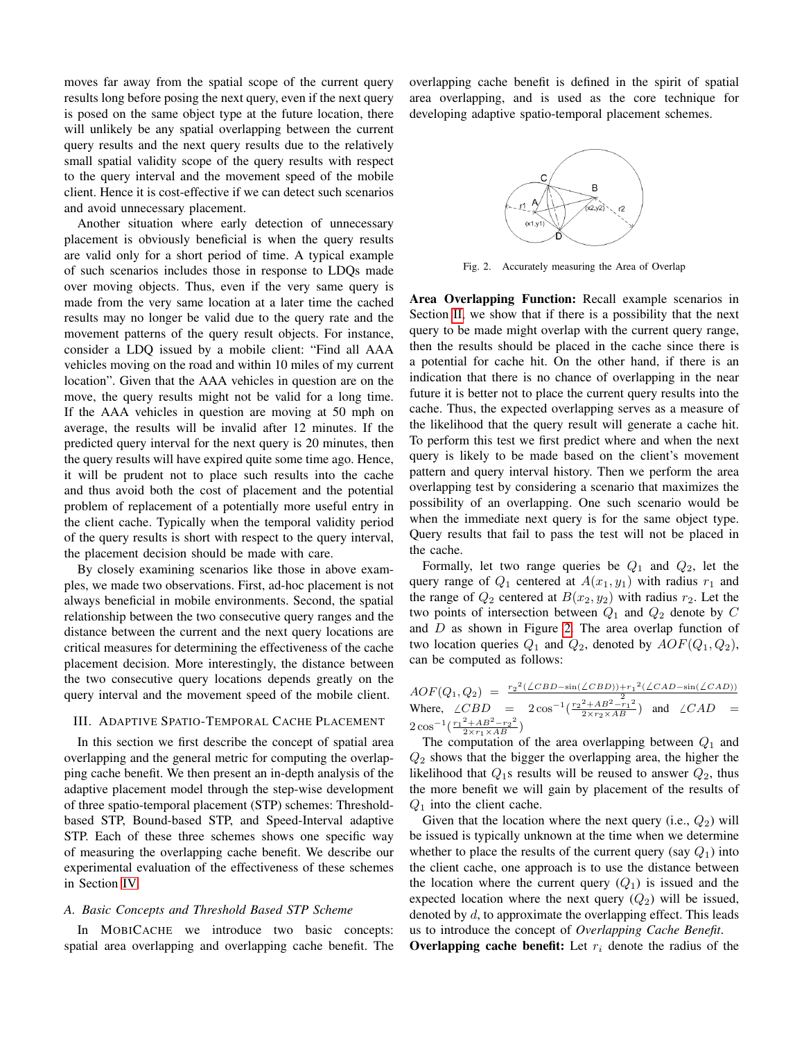moves far away from the spatial scope of the current query results long before posing the next query, even if the next query is posed on the same object type at the future location, there will unlikely be any spatial overlapping between the current query results and the next query results due to the relatively small spatial validity scope of the query results with respect to the query interval and the movement speed of the mobile client. Hence it is cost-effective if we can detect such scenarios and avoid unnecessary placement.

Another situation where early detection of unnecessary placement is obviously beneficial is when the query results are valid only for a short period of time. A typical example of such scenarios includes those in response to LDQs made over moving objects. Thus, even if the very same query is made from the very same location at a later time the cached results may no longer be valid due to the query rate and the movement patterns of the query result objects. For instance, consider a LDQ issued by a mobile client: "Find all AAA vehicles moving on the road and within 10 miles of my current location". Given that the AAA vehicles in question are on the move, the query results might not be valid for a long time. If the AAA vehicles in question are moving at 50 mph on average, the results will be invalid after 12 minutes. If the predicted query interval for the next query is 20 minutes, then the query results will have expired quite some time ago. Hence, it will be prudent not to place such results into the cache and thus avoid both the cost of placement and the potential problem of replacement of a potentially more useful entry in the client cache. Typically when the temporal validity period of the query results is short with respect to the query interval, the placement decision should be made with care.

By closely examining scenarios like those in above examples, we made two observations. First, ad-hoc placement is not always beneficial in mobile environments. Second, the spatial relationship between the two consecutive query ranges and the distance between the current and the next query locations are critical measures for determining the effectiveness of the cache placement decision. More interestingly, the distance between the two consecutive query locations depends greatly on the query interval and the movement speed of the mobile client.

## <span id="page-2-0"></span>III. ADAPTIVE SPATIO-TEMPORAL CACHE PLACEMENT

In this section we first describe the concept of spatial area overlapping and the general metric for computing the overlapping cache benefit. We then present an in-depth analysis of the adaptive placement model through the step-wise development of three spatio-temporal placement (STP) schemes: Thresholdbased STP, Bound-based STP, and Speed-Interval adaptive STP. Each of these three schemes shows one specific way of measuring the overlapping cache benefit. We describe our experimental evaluation of the effectiveness of these schemes in Section [IV.](#page-5-0)

### <span id="page-2-2"></span>*A. Basic Concepts and Threshold Based STP Scheme*

In MOBICACHE we introduce two basic concepts: spatial area overlapping and overlapping cache benefit. The overlapping cache benefit is defined in the spirit of spatial area overlapping, and is used as the core technique for developing adaptive spatio-temporal placement schemes.



<span id="page-2-1"></span>Fig. 2. Accurately measuring the Area of Overlap

Area Overlapping Function: Recall example scenarios in Section [II,](#page-1-0) we show that if there is a possibility that the next query to be made might overlap with the current query range, then the results should be placed in the cache since there is a potential for cache hit. On the other hand, if there is an indication that there is no chance of overlapping in the near future it is better not to place the current query results into the cache. Thus, the expected overlapping serves as a measure of the likelihood that the query result will generate a cache hit. To perform this test we first predict where and when the next query is likely to be made based on the client's movement pattern and query interval history. Then we perform the area overlapping test by considering a scenario that maximizes the possibility of an overlapping. One such scenario would be when the immediate next query is for the same object type. Query results that fail to pass the test will not be placed in the cache.

Formally, let two range queries be  $Q_1$  and  $Q_2$ , let the query range of  $Q_1$  centered at  $A(x_1, y_1)$  with radius  $r_1$  and the range of  $Q_2$  centered at  $B(x_2, y_2)$  with radius  $r_2$ . Let the two points of intersection between  $Q_1$  and  $Q_2$  denote by C and  $D$  as shown in Figure [2.](#page-2-1) The area overlap function of two location queries  $Q_1$  and  $Q_2$ , denoted by  $AOF(Q_1, Q_2)$ , can be computed as follows:

$$
AOF(Q_1, Q_2) = \frac{r_2^2(\angle CBD - \sin(\angle CBD)) + r_1^2(\angle CAD - \sin(\angle CAD))}{r_2^2}
$$
  
Where,  $\angle CBD = 2 \cos^{-1}(\frac{r_2^2 + AB^2 - r_1^2}{2 \times r_2 \times AB})$  and  $\angle CAD = 2 \cos^{-1}(\frac{r_1^2 + AB^2 - r_2^2}{2 \times r_1 \times AB})$ 

The computation of the area overlapping between  $Q_1$  and  $Q_2$  shows that the bigger the overlapping area, the higher the likelihood that  $Q_1$ s results will be reused to answer  $Q_2$ , thus the more benefit we will gain by placement of the results of  $Q_1$  into the client cache.

Given that the location where the next query (i.e.,  $Q_2$ ) will be issued is typically unknown at the time when we determine whether to place the results of the current query (say  $Q_1$ ) into the client cache, one approach is to use the distance between the location where the current query  $(Q_1)$  is issued and the expected location where the next query  $(Q_2)$  will be issued, denoted by  $d$ , to approximate the overlapping effect. This leads us to introduce the concept of *Overlapping Cache Benefit*.

Overlapping cache benefit: Let  $r_i$  denote the radius of the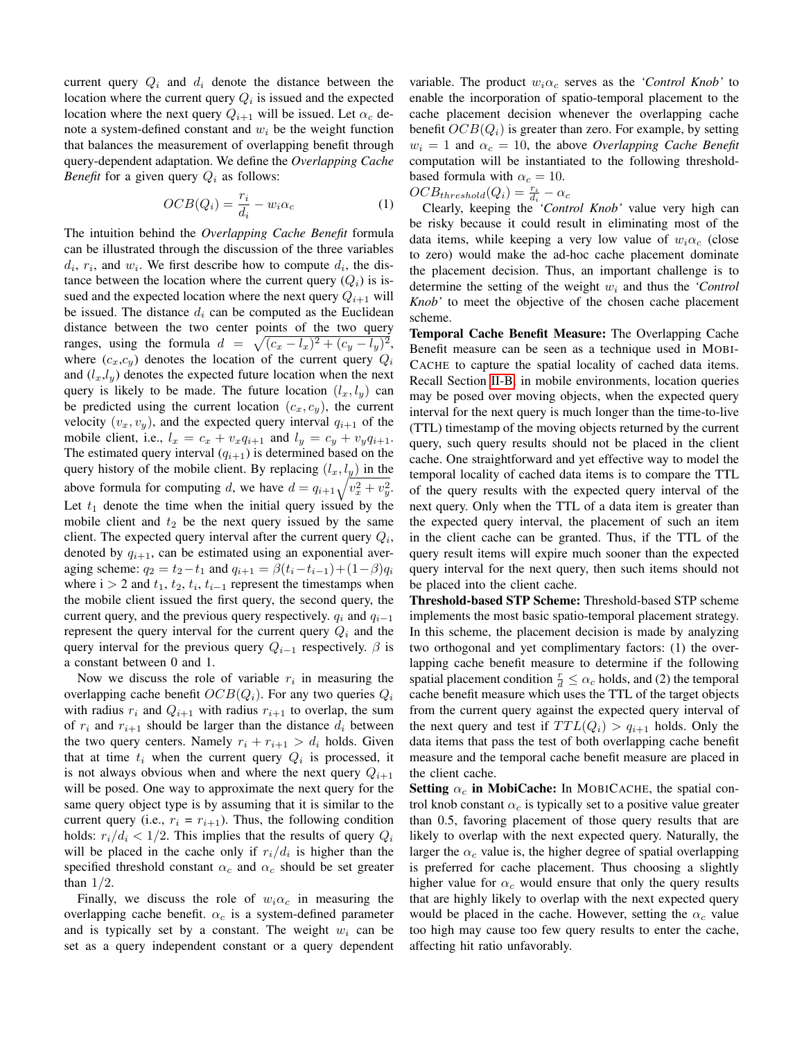current query  $Q_i$  and  $d_i$  denote the distance between the location where the current query  $Q_i$  is issued and the expected location where the next query  $Q_{i+1}$  will be issued. Let  $\alpha_c$  denote a system-defined constant and  $w_i$  be the weight function that balances the measurement of overlapping benefit through query-dependent adaptation. We define the *Overlapping Cache Benefit* for a given query  $Q_i$  as follows:

$$
OCB(Q_i) = \frac{r_i}{d_i} - w_i \alpha_c \tag{1}
$$

The intuition behind the *Overlapping Cache Benefit* formula can be illustrated through the discussion of the three variables  $d_i$ ,  $r_i$ , and  $w_i$ . We first describe how to compute  $d_i$ , the distance between the location where the current query  $(Q_i)$  is issued and the expected location where the next query  $Q_{i+1}$  will be issued. The distance  $d_i$  can be computed as the Euclidean distance between the two center points of the two query ranges, using the formula  $d = \sqrt{(c_x - l_x)^2 + (c_y - l_y)^2}$ , where  $(c_x, c_y)$  denotes the location of the current query  $Q_i$ and  $(l_x, l_y)$  denotes the expected future location when the next query is likely to be made. The future location  $(l_x, l_y)$  can be predicted using the current location  $(c_x, c_y)$ , the current velocity  $(v_x, v_y)$ , and the expected query interval  $q_{i+1}$  of the mobile client, i.e.,  $l_x = c_x + v_x q_{i+1}$  and  $l_y = c_y + v_y q_{i+1}$ . The estimated query interval  $(q_{i+1})$  is determined based on the query history of the mobile client. By replacing  $(l_x, l_y)$  in the above formula for computing d, we have  $d = q_{i+1}\sqrt{v_x^2 + v_y^2}$ . Let  $t_1$  denote the time when the initial query issued by the mobile client and  $t_2$  be the next query issued by the same client. The expected query interval after the current query  $Q_i$ , denoted by  $q_{i+1}$ , can be estimated using an exponential averaging scheme:  $q_2 = t_2 - t_1$  and  $q_{i+1} = \beta(t_i - t_{i-1}) + (1 - \beta)q_i$ where  $i > 2$  and  $t_1, t_2, t_i, t_{i-1}$  represent the timestamps when the mobile client issued the first query, the second query, the current query, and the previous query respectively.  $q_i$  and  $q_{i-1}$ represent the query interval for the current query  $Q_i$  and the query interval for the previous query  $Q_{i-1}$  respectively.  $\beta$  is a constant between 0 and 1.

Now we discuss the role of variable  $r_i$  in measuring the overlapping cache benefit  $OCB(Q<sub>i</sub>)$ . For any two queries  $Q<sub>i</sub>$ with radius  $r_i$  and  $Q_{i+1}$  with radius  $r_{i+1}$  to overlap, the sum of  $r_i$  and  $r_{i+1}$  should be larger than the distance  $d_i$  between the two query centers. Namely  $r_i + r_{i+1} > d_i$  holds. Given that at time  $t_i$  when the current query  $Q_i$  is processed, it is not always obvious when and where the next query  $Q_{i+1}$ will be posed. One way to approximate the next query for the same query object type is by assuming that it is similar to the current query (i.e.,  $r_i = r_{i+1}$ ). Thus, the following condition holds:  $r_i/d_i < 1/2$ . This implies that the results of query  $Q_i$ will be placed in the cache only if  $r_i/d_i$  is higher than the specified threshold constant  $\alpha_c$  and  $\alpha_c$  should be set greater than  $1/2$ .

Finally, we discuss the role of  $w_i \alpha_c$  in measuring the overlapping cache benefit.  $\alpha_c$  is a system-defined parameter and is typically set by a constant. The weight  $w_i$  can be set as a query independent constant or a query dependent

variable. The product  $w_i \alpha_c$  serves as the *'Control Knob'* to enable the incorporation of spatio-temporal placement to the cache placement decision whenever the overlapping cache benefit  $OCB(Q_i)$  is greater than zero. For example, by setting  $w_i = 1$  and  $\alpha_c = 10$ , the above *Overlapping Cache Benefit* computation will be instantiated to the following thresholdbased formula with  $\alpha_c = 10$ .

$$
OCB_{threshold}(Q_i) = \frac{r_i}{d_i} - \alpha_c
$$

 $\text{C}$ Chareshold( $\mathcal{A}_i$ ) –  $d_i$  and  $d_i$ <br>Clearly, keeping the *'Control Knob'* value very high can be risky because it could result in eliminating most of the data items, while keeping a very low value of  $w_i \alpha_c$  (close to zero) would make the ad-hoc cache placement dominate the placement decision. Thus, an important challenge is to determine the setting of the weight w<sup>i</sup> and thus the *'Control Knob'* to meet the objective of the chosen cache placement scheme.

Temporal Cache Benefit Measure: The Overlapping Cache Benefit measure can be seen as a technique used in MOBI-CACHE to capture the spatial locality of cached data items. Recall Section [II-B,](#page-1-2) in mobile environments, location queries may be posed over moving objects, when the expected query interval for the next query is much longer than the time-to-live (TTL) timestamp of the moving objects returned by the current query, such query results should not be placed in the client cache. One straightforward and yet effective way to model the temporal locality of cached data items is to compare the TTL of the query results with the expected query interval of the next query. Only when the TTL of a data item is greater than the expected query interval, the placement of such an item in the client cache can be granted. Thus, if the TTL of the query result items will expire much sooner than the expected query interval for the next query, then such items should not be placed into the client cache.

Threshold-based STP Scheme: Threshold-based STP scheme implements the most basic spatio-temporal placement strategy. In this scheme, the placement decision is made by analyzing two orthogonal and yet complimentary factors: (1) the overlapping cache benefit measure to determine if the following spatial placement condition  $\frac{r}{d} \leq \alpha_c$  holds, and (2) the temporal cache benefit measure which uses the TTL of the target objects from the current query against the expected query interval of the next query and test if  $TTL(Q_i) > q_{i+1}$  holds. Only the data items that pass the test of both overlapping cache benefit measure and the temporal cache benefit measure are placed in the client cache.

Setting  $\alpha_c$  in MobiCache: In MOBICACHE, the spatial control knob constant  $\alpha_c$  is typically set to a positive value greater than 0.5, favoring placement of those query results that are likely to overlap with the next expected query. Naturally, the larger the  $\alpha_c$  value is, the higher degree of spatial overlapping is preferred for cache placement. Thus choosing a slightly higher value for  $\alpha_c$  would ensure that only the query results that are highly likely to overlap with the next expected query would be placed in the cache. However, setting the  $\alpha_c$  value too high may cause too few query results to enter the cache, affecting hit ratio unfavorably.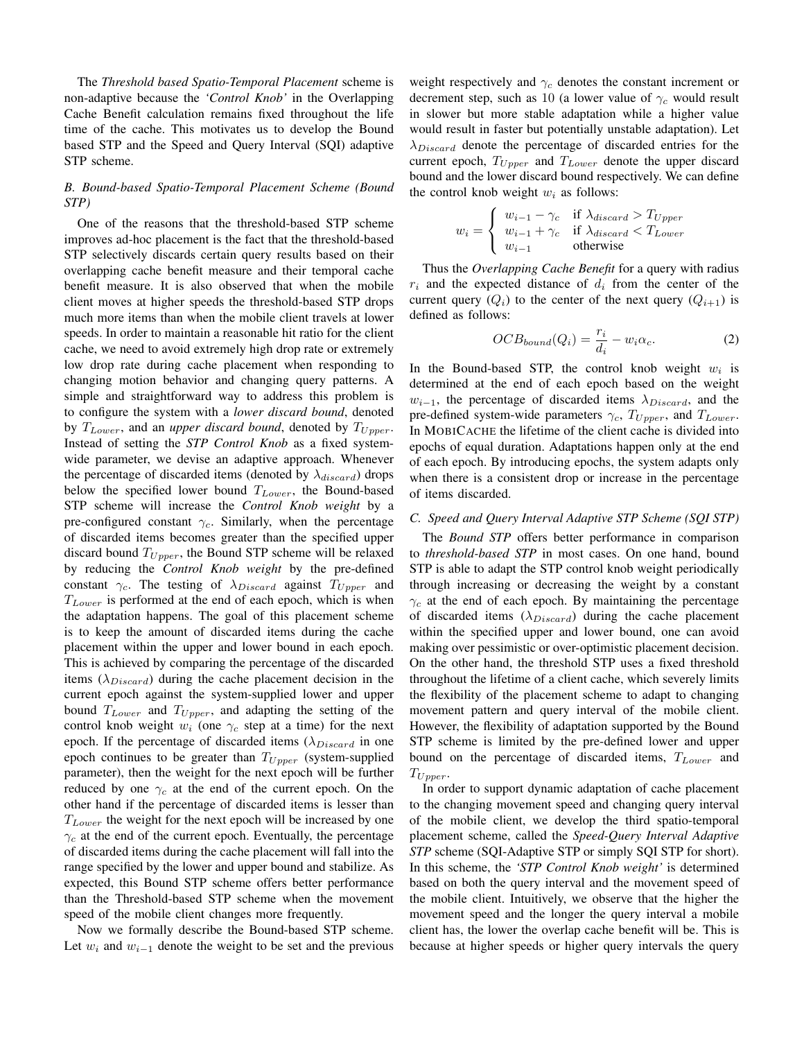The *Threshold based Spatio-Temporal Placement* scheme is non-adaptive because the *'Control Knob'* in the Overlapping Cache Benefit calculation remains fixed throughout the life time of the cache. This motivates us to develop the Bound based STP and the Speed and Query Interval (SQI) adaptive STP scheme.

# *B. Bound-based Spatio-Temporal Placement Scheme (Bound STP)*

One of the reasons that the threshold-based STP scheme improves ad-hoc placement is the fact that the threshold-based STP selectively discards certain query results based on their overlapping cache benefit measure and their temporal cache benefit measure. It is also observed that when the mobile client moves at higher speeds the threshold-based STP drops much more items than when the mobile client travels at lower speeds. In order to maintain a reasonable hit ratio for the client cache, we need to avoid extremely high drop rate or extremely low drop rate during cache placement when responding to changing motion behavior and changing query patterns. A simple and straightforward way to address this problem is to configure the system with a *lower discard bound*, denoted by  $T_{Lower}$ , and an *upper discard bound*, denoted by  $T_{Upper}$ . Instead of setting the *STP Control Knob* as a fixed systemwide parameter, we devise an adaptive approach. Whenever the percentage of discarded items (denoted by  $\lambda_{discard}$ ) drops below the specified lower bound  $T_{Lower}$ , the Bound-based STP scheme will increase the *Control Knob weight* by a pre-configured constant  $\gamma_c$ . Similarly, when the percentage of discarded items becomes greater than the specified upper discard bound  $T_{Upper}$ , the Bound STP scheme will be relaxed by reducing the *Control Knob weight* by the pre-defined constant  $\gamma_c$ . The testing of  $\lambda_{Discard}$  against  $T_{Upper}$  and  $T_{Lower}$  is performed at the end of each epoch, which is when the adaptation happens. The goal of this placement scheme is to keep the amount of discarded items during the cache placement within the upper and lower bound in each epoch. This is achieved by comparing the percentage of the discarded items ( $\lambda_{Discard}$ ) during the cache placement decision in the current epoch against the system-supplied lower and upper bound  $T_{Lower}$  and  $T_{Upper}$ , and adapting the setting of the control knob weight  $w_i$  (one  $\gamma_c$  step at a time) for the next epoch. If the percentage of discarded items  $(\lambda_{Discard}$  in one epoch continues to be greater than  $T_{Upper}$  (system-supplied parameter), then the weight for the next epoch will be further reduced by one  $\gamma_c$  at the end of the current epoch. On the other hand if the percentage of discarded items is lesser than  $T_{Lower}$  the weight for the next epoch will be increased by one  $\gamma_c$  at the end of the current epoch. Eventually, the percentage of discarded items during the cache placement will fall into the range specified by the lower and upper bound and stabilize. As expected, this Bound STP scheme offers better performance than the Threshold-based STP scheme when the movement speed of the mobile client changes more frequently.

Now we formally describe the Bound-based STP scheme. Let  $w_i$  and  $w_{i-1}$  denote the weight to be set and the previous weight respectively and  $\gamma_c$  denotes the constant increment or decrement step, such as 10 (a lower value of  $\gamma_c$  would result in slower but more stable adaptation while a higher value would result in faster but potentially unstable adaptation). Let  $\lambda_{Discard}$  denote the percentage of discarded entries for the current epoch,  $T_{Upper}$  and  $T_{Lower}$  denote the upper discard bound and the lower discard bound respectively. We can define the control knob weight  $w_i$  as follows:

$$
w_i = \begin{cases} w_{i-1} - \gamma_c & \text{if } \lambda_{discard} > T_{Upper} \\ w_{i-1} + \gamma_c & \text{if } \lambda_{discard} < T_{Lower} \\ w_{i-1} & \text{otherwise} \end{cases}
$$

Thus the *Overlapping Cache Benefit* for a query with radius  $r_i$  and the expected distance of  $d_i$  from the center of the current query  $(Q_i)$  to the center of the next query  $(Q_{i+1})$  is defined as follows:

$$
OCB_{bound}(Q_i) = \frac{r_i}{d_i} - w_i \alpha_c.
$$
 (2)

In the Bound-based STP, the control knob weight  $w_i$  is determined at the end of each epoch based on the weight  $w_{i-1}$ , the percentage of discarded items  $\lambda_{Discard}$ , and the pre-defined system-wide parameters  $\gamma_c$ ,  $T_{Upper}$ , and  $T_{Lower}$ . In MOBICACHE the lifetime of the client cache is divided into epochs of equal duration. Adaptations happen only at the end of each epoch. By introducing epochs, the system adapts only when there is a consistent drop or increase in the percentage of items discarded.

### *C. Speed and Query Interval Adaptive STP Scheme (SQI STP)*

The *Bound STP* offers better performance in comparison to *threshold-based STP* in most cases. On one hand, bound STP is able to adapt the STP control knob weight periodically through increasing or decreasing the weight by a constant  $\gamma_c$  at the end of each epoch. By maintaining the percentage of discarded items  $(\lambda_{Discard})$  during the cache placement within the specified upper and lower bound, one can avoid making over pessimistic or over-optimistic placement decision. On the other hand, the threshold STP uses a fixed threshold throughout the lifetime of a client cache, which severely limits the flexibility of the placement scheme to adapt to changing movement pattern and query interval of the mobile client. However, the flexibility of adaptation supported by the Bound STP scheme is limited by the pre-defined lower and upper bound on the percentage of discarded items,  $T_{Lower}$  and  $T_{Upper}$ .

In order to support dynamic adaptation of cache placement to the changing movement speed and changing query interval of the mobile client, we develop the third spatio-temporal placement scheme, called the *Speed-Query Interval Adaptive STP* scheme (SQI-Adaptive STP or simply SQI STP for short). In this scheme, the *'STP Control Knob weight'* is determined based on both the query interval and the movement speed of the mobile client. Intuitively, we observe that the higher the movement speed and the longer the query interval a mobile client has, the lower the overlap cache benefit will be. This is because at higher speeds or higher query intervals the query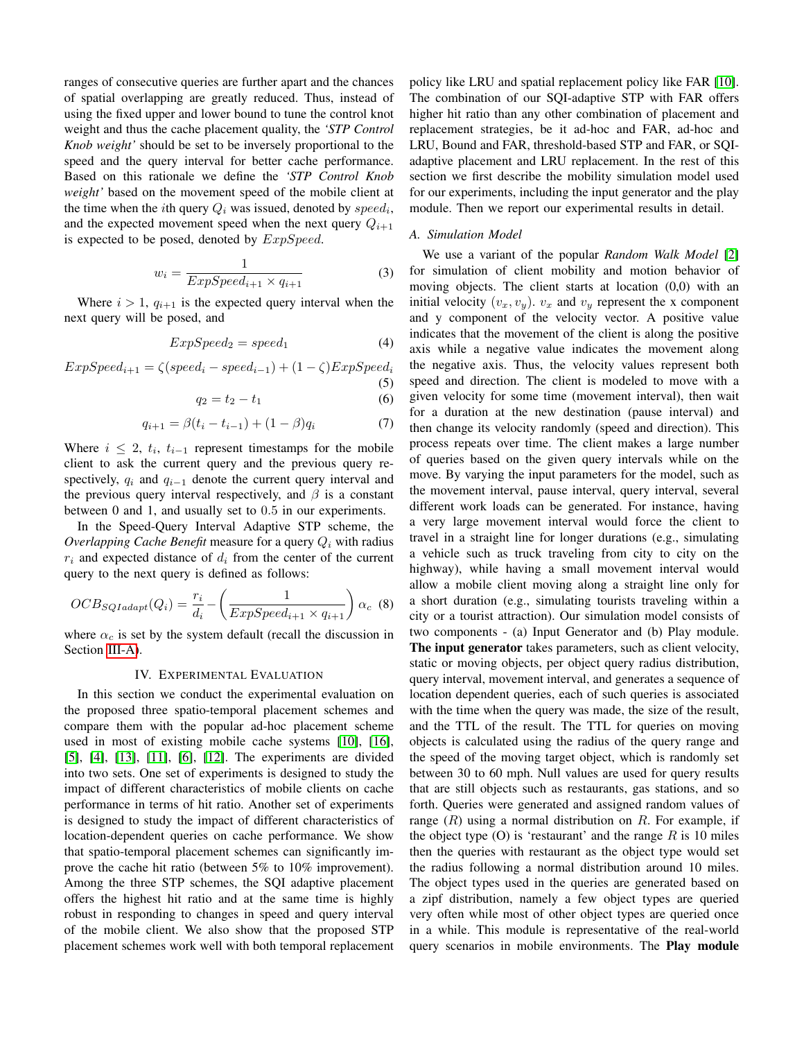ranges of consecutive queries are further apart and the chances of spatial overlapping are greatly reduced. Thus, instead of using the fixed upper and lower bound to tune the control knot weight and thus the cache placement quality, the *'STP Control Knob weight'* should be set to be inversely proportional to the speed and the query interval for better cache performance. Based on this rationale we define the *'STP Control Knob weight'* based on the movement speed of the mobile client at the time when the *i*th query  $Q_i$  was issued, denoted by  $speed_i$ , and the expected movement speed when the next query  $Q_{i+1}$ is expected to be posed, denoted by  $ExpSpeed$ .

$$
w_i = \frac{1}{ExpSpeed_{i+1} \times q_{i+1}}
$$
 (3)

Where  $i > 1$ ,  $q_{i+1}$  is the expected query interval when the next query will be posed, and

$$
ExpSpeed_2 = speed_1 \tag{4}
$$

 $ExpSpeed_{i+1} = \zeta(speed_i - speed_{i-1}) + (1 - \zeta)ExpSpeed_i$ (5)

$$
q_2 = t_2 - t_1 \tag{6}
$$

$$
q_{i+1} = \beta(t_i - t_{i-1}) + (1 - \beta)q_i \tag{7}
$$

Where  $i \leq 2$ ,  $t_i$ ,  $t_{i-1}$  represent timestamps for the mobile client to ask the current query and the previous query respectively,  $q_i$  and  $q_{i-1}$  denote the current query interval and the previous query interval respectively, and  $\beta$  is a constant between 0 and 1, and usually set to 0.5 in our experiments.

In the Speed-Query Interval Adaptive STP scheme, the *Overlapping Cache Benefit* measure for a query  $Q_i$  with radius  $r_i$  and expected distance of  $d_i$  from the center of the current query to the next query is defined as follows:

$$
OCB_{SQIadapt}(Q_i) = \frac{r_i}{d_i} - \left(\frac{1}{ExpSpeed_{i+1} \times q_{i+1}}\right) \alpha_c
$$
 (8)

where  $\alpha_c$  is set by the system default (recall the discussion in Section [III-A\)](#page-2-2).

## IV. EXPERIMENTAL EVALUATION

<span id="page-5-0"></span>In this section we conduct the experimental evaluation on the proposed three spatio-temporal placement schemes and compare them with the popular ad-hoc placement scheme used in most of existing mobile cache systems [\[10\]](#page-8-1), [\[16\]](#page-8-2), [\[5\]](#page-8-3), [\[4\]](#page-8-4), [\[13\]](#page-8-5), [\[11\]](#page-8-6), [\[6\]](#page-8-7), [\[12\]](#page-8-8). The experiments are divided into two sets. One set of experiments is designed to study the impact of different characteristics of mobile clients on cache performance in terms of hit ratio. Another set of experiments is designed to study the impact of different characteristics of location-dependent queries on cache performance. We show that spatio-temporal placement schemes can significantly improve the cache hit ratio (between 5% to 10% improvement). Among the three STP schemes, the SQI adaptive placement offers the highest hit ratio and at the same time is highly robust in responding to changes in speed and query interval of the mobile client. We also show that the proposed STP placement schemes work well with both temporal replacement policy like LRU and spatial replacement policy like FAR [\[10\]](#page-8-1). The combination of our SQI-adaptive STP with FAR offers higher hit ratio than any other combination of placement and replacement strategies, be it ad-hoc and FAR, ad-hoc and LRU, Bound and FAR, threshold-based STP and FAR, or SQIadaptive placement and LRU replacement. In the rest of this section we first describe the mobility simulation model used for our experiments, including the input generator and the play module. Then we report our experimental results in detail.

#### *A. Simulation Model*

We use a variant of the popular *Random Walk Model* [\[2\]](#page-8-9) for simulation of client mobility and motion behavior of moving objects. The client starts at location (0,0) with an initial velocity  $(v_x, v_y)$ .  $v_x$  and  $v_y$  represent the x component and y component of the velocity vector. A positive value indicates that the movement of the client is along the positive axis while a negative value indicates the movement along the negative axis. Thus, the velocity values represent both speed and direction. The client is modeled to move with a given velocity for some time (movement interval), then wait for a duration at the new destination (pause interval) and then change its velocity randomly (speed and direction). This process repeats over time. The client makes a large number of queries based on the given query intervals while on the move. By varying the input parameters for the model, such as the movement interval, pause interval, query interval, several different work loads can be generated. For instance, having a very large movement interval would force the client to travel in a straight line for longer durations (e.g., simulating a vehicle such as truck traveling from city to city on the highway), while having a small movement interval would allow a mobile client moving along a straight line only for a short duration (e.g., simulating tourists traveling within a city or a tourist attraction). Our simulation model consists of two components - (a) Input Generator and (b) Play module. The input generator takes parameters, such as client velocity, static or moving objects, per object query radius distribution, query interval, movement interval, and generates a sequence of location dependent queries, each of such queries is associated with the time when the query was made, the size of the result, and the TTL of the result. The TTL for queries on moving objects is calculated using the radius of the query range and the speed of the moving target object, which is randomly set between 30 to 60 mph. Null values are used for query results that are still objects such as restaurants, gas stations, and so forth. Queries were generated and assigned random values of range  $(R)$  using a normal distribution on R. For example, if the object type  $(O)$  is 'restaurant' and the range R is 10 miles then the queries with restaurant as the object type would set the radius following a normal distribution around 10 miles. The object types used in the queries are generated based on a zipf distribution, namely a few object types are queried very often while most of other object types are queried once in a while. This module is representative of the real-world query scenarios in mobile environments. The Play module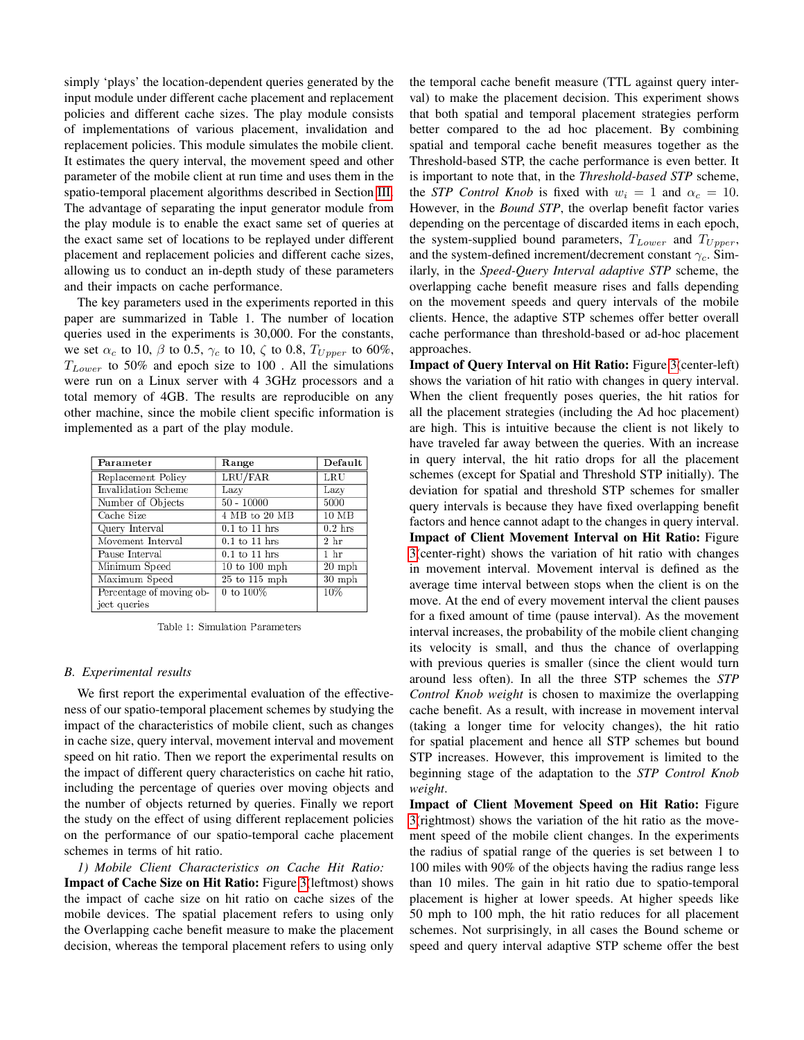simply 'plays' the location-dependent queries generated by the input module under different cache placement and replacement policies and different cache sizes. The play module consists of implementations of various placement, invalidation and replacement policies. This module simulates the mobile client. It estimates the query interval, the movement speed and other parameter of the mobile client at run time and uses them in the spatio-temporal placement algorithms described in Section [III.](#page-2-0) The advantage of separating the input generator module from the play module is to enable the exact same set of queries at the exact same set of locations to be replayed under different placement and replacement policies and different cache sizes, allowing us to conduct an in-depth study of these parameters and their impacts on cache performance.

The key parameters used in the experiments reported in this paper are summarized in Table 1. The number of location queries used in the experiments is 30,000. For the constants, we set  $\alpha_c$  to 10,  $\beta$  to 0.5,  $\gamma_c$  to 10,  $\zeta$  to 0.8,  $T_{Upper}$  to 60%,  $T_{Lower}$  to 50% and epoch size to 100. All the simulations were run on a Linux server with 4 3GHz processors and a total memory of 4GB. The results are reproducible on any other machine, since the mobile client specific information is implemented as a part of the play module.

| Parameter                  | Range                             | Default             |
|----------------------------|-----------------------------------|---------------------|
| Replacement Policy         | LRU/FAR                           | LRU                 |
| <b>Invalidation Scheme</b> | Lazy                              | Lazy                |
| Number of Objects          | $50 - 10000$                      | 5000                |
| Cache Size                 | $4 \text{ MB}$ to $20 \text{ MB}$ | 10MB                |
| Query Interval             | $0.1$ to $11$ hrs                 | $0.2$ hrs           |
| Movement Interval          | $0.1$ to 11 hrs                   | 2 <sub>hr</sub>     |
| Pause Interval             | $0.1$ to 11 hrs                   | 1 <sub>hr</sub>     |
| Minimum Speed              | $10$ to $100$ mph                 | $\overline{20}$ mph |
| Maximum Speed              | $25$ to $115$ mph                 | $30$ mph            |
| Percentage of moving ob-   | $0$ to $100\%$                    | 10%                 |
| ject queries               |                                   |                     |

Table 1: Simulation Parameters

## *B. Experimental results*

We first report the experimental evaluation of the effectiveness of our spatio-temporal placement schemes by studying the impact of the characteristics of mobile client, such as changes in cache size, query interval, movement interval and movement speed on hit ratio. Then we report the experimental results on the impact of different query characteristics on cache hit ratio, including the percentage of queries over moving objects and the number of objects returned by queries. Finally we report the study on the effect of using different replacement policies on the performance of our spatio-temporal cache placement schemes in terms of hit ratio.

*1) Mobile Client Characteristics on Cache Hit Ratio:* Impact of Cache Size on Hit Ratio: Figure [3\(](#page-7-1)leftmost) shows the impact of cache size on hit ratio on cache sizes of the mobile devices. The spatial placement refers to using only the Overlapping cache benefit measure to make the placement decision, whereas the temporal placement refers to using only the temporal cache benefit measure (TTL against query interval) to make the placement decision. This experiment shows that both spatial and temporal placement strategies perform better compared to the ad hoc placement. By combining spatial and temporal cache benefit measures together as the Threshold-based STP, the cache performance is even better. It is important to note that, in the *Threshold-based STP* scheme, the *STP Control Knob* is fixed with  $w_i = 1$  and  $\alpha_c = 10$ . However, in the *Bound STP*, the overlap benefit factor varies depending on the percentage of discarded items in each epoch, the system-supplied bound parameters,  $T_{Lower}$  and  $T_{Upper}$ , and the system-defined increment/decrement constant  $\gamma_c$ . Similarly, in the *Speed-Query Interval adaptive STP* scheme, the overlapping cache benefit measure rises and falls depending on the movement speeds and query intervals of the mobile clients. Hence, the adaptive STP schemes offer better overall cache performance than threshold-based or ad-hoc placement approaches.

Impact of Query Interval on Hit Ratio: Figure [3\(](#page-7-1)center-left) shows the variation of hit ratio with changes in query interval. When the client frequently poses queries, the hit ratios for all the placement strategies (including the Ad hoc placement) are high. This is intuitive because the client is not likely to have traveled far away between the queries. With an increase in query interval, the hit ratio drops for all the placement schemes (except for Spatial and Threshold STP initially). The deviation for spatial and threshold STP schemes for smaller query intervals is because they have fixed overlapping benefit factors and hence cannot adapt to the changes in query interval. Impact of Client Movement Interval on Hit Ratio: Figure [3\(](#page-7-1)center-right) shows the variation of hit ratio with changes in movement interval. Movement interval is defined as the average time interval between stops when the client is on the move. At the end of every movement interval the client pauses for a fixed amount of time (pause interval). As the movement interval increases, the probability of the mobile client changing its velocity is small, and thus the chance of overlapping with previous queries is smaller (since the client would turn around less often). In all the three STP schemes the *STP Control Knob weight* is chosen to maximize the overlapping cache benefit. As a result, with increase in movement interval (taking a longer time for velocity changes), the hit ratio for spatial placement and hence all STP schemes but bound STP increases. However, this improvement is limited to the beginning stage of the adaptation to the *STP Control Knob weight*.

Impact of Client Movement Speed on Hit Ratio: Figure [3\(](#page-7-1)rightmost) shows the variation of the hit ratio as the movement speed of the mobile client changes. In the experiments the radius of spatial range of the queries is set between 1 to 100 miles with 90% of the objects having the radius range less than 10 miles. The gain in hit ratio due to spatio-temporal placement is higher at lower speeds. At higher speeds like 50 mph to 100 mph, the hit ratio reduces for all placement schemes. Not surprisingly, in all cases the Bound scheme or speed and query interval adaptive STP scheme offer the best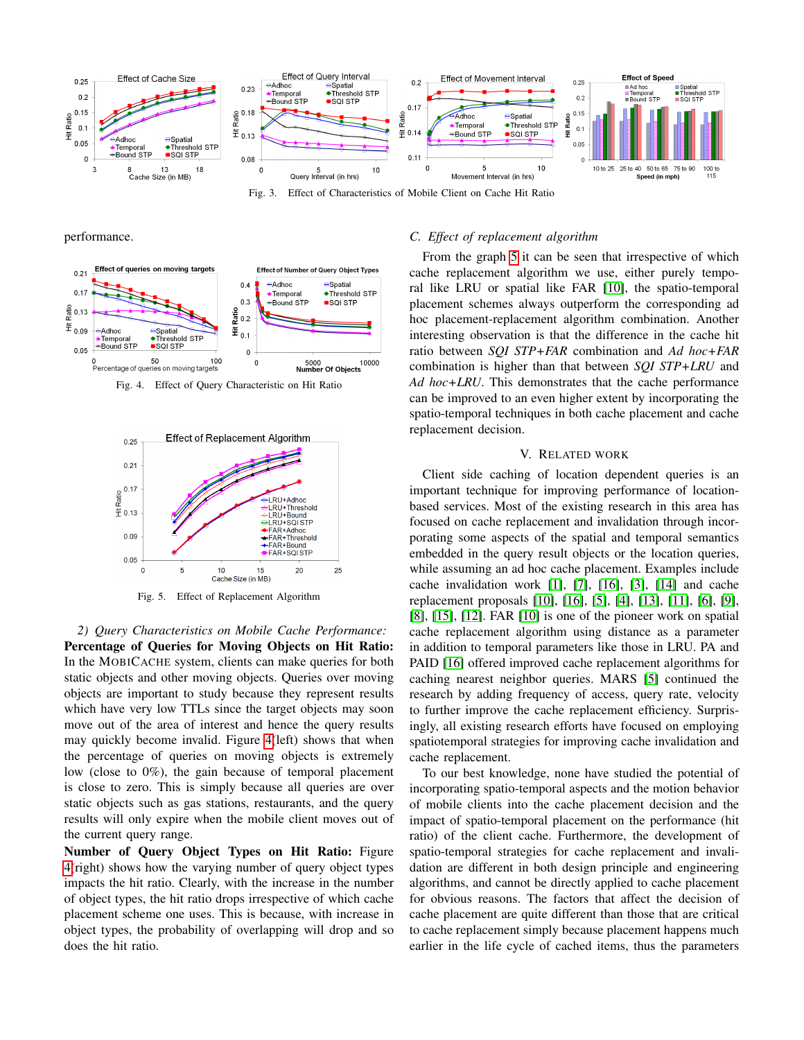

<span id="page-7-1"></span>Fig. 3. Effect of Characteristics of Mobile Client on Cache Hit Ratio

performance.



<span id="page-7-2"></span>

<span id="page-7-3"></span>Fig. 5. Effect of Replacement Algorithm

*2) Query Characteristics on Mobile Cache Performance:* Percentage of Queries for Moving Objects on Hit Ratio: In the MOBICACHE system, clients can make queries for both static objects and other moving objects. Queries over moving objects are important to study because they represent results which have very low TTLs since the target objects may soon move out of the area of interest and hence the query results may quickly become invalid. Figure [4\(](#page-7-2)left) shows that when the percentage of queries on moving objects is extremely low (close to 0%), the gain because of temporal placement is close to zero. This is simply because all queries are over static objects such as gas stations, restaurants, and the query results will only expire when the mobile client moves out of the current query range.

Number of Query Object Types on Hit Ratio: Figure [4\(](#page-7-2)right) shows how the varying number of query object types impacts the hit ratio. Clearly, with the increase in the number of object types, the hit ratio drops irrespective of which cache placement scheme one uses. This is because, with increase in object types, the probability of overlapping will drop and so does the hit ratio.

## *C. Effect of replacement algorithm*

From the graph [5](#page-7-3) it can be seen that irrespective of which cache replacement algorithm we use, either purely temporal like LRU or spatial like FAR [\[10\]](#page-8-1), the spatio-temporal placement schemes always outperform the corresponding ad hoc placement-replacement algorithm combination. Another interesting observation is that the difference in the cache hit ratio between *SQI STP+FAR* combination and *Ad hoc+FAR* combination is higher than that between *SQI STP+LRU* and Ad hoc+LRU. This demonstrates that the cache performance can be improved to an even higher extent by incorporating the spatio-temporal techniques in both cache placement and cache replacement decision.

# V. RELATED WORK

<span id="page-7-0"></span>Client side caching of location dependent queries is an important technique for improving performance of locationbased services. Most of the existing research in this area has focused on cache replacement and invalidation through incorporating some aspects of the spatial and temporal semantics embedded in the query result objects or the location queries, while assuming an ad hoc cache placement. Examples include cache invalidation work [\[1\]](#page-8-10), [\[7\]](#page-8-11), [\[16\]](#page-8-2), [\[3\]](#page-8-12), [\[14\]](#page-8-13) and cache replacement proposals [\[10\]](#page-8-1), [\[16\]](#page-8-2), [\[5\]](#page-8-3), [\[4\]](#page-8-4), [\[13\]](#page-8-5), [\[11\]](#page-8-6), [\[6\]](#page-8-7), [\[9\]](#page-8-14), [\[8\]](#page-8-15), [\[15\]](#page-8-16), [\[12\]](#page-8-8). FAR [\[10\]](#page-8-1) is one of the pioneer work on spatial cache replacement algorithm using distance as a parameter in addition to temporal parameters like those in LRU. PA and PAID [\[16\]](#page-8-2) offered improved cache replacement algorithms for caching nearest neighbor queries. MARS [\[5\]](#page-8-3) continued the research by adding frequency of access, query rate, velocity to further improve the cache replacement efficiency. Surprisingly, all existing research efforts have focused on employing spatiotemporal strategies for improving cache invalidation and cache replacement.

To our best knowledge, none have studied the potential of incorporating spatio-temporal aspects and the motion behavior of mobile clients into the cache placement decision and the impact of spatio-temporal placement on the performance (hit ratio) of the client cache. Furthermore, the development of spatio-temporal strategies for cache replacement and invalidation are different in both design principle and engineering algorithms, and cannot be directly applied to cache placement for obvious reasons. The factors that affect the decision of cache placement are quite different than those that are critical to cache replacement simply because placement happens much earlier in the life cycle of cached items, thus the parameters